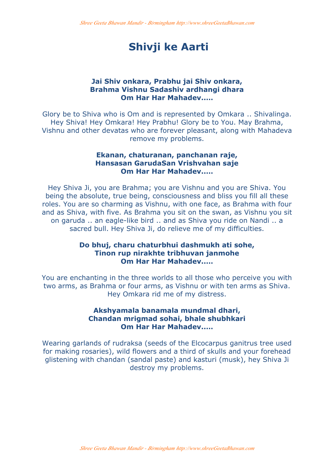# **Shivji ke Aarti**

#### **Jai Shiv onkara, Prabhu jai Shiv onkara, Brahma Vishnu Sadashiv ardhangi dhara Om Har Har Mahadev..…**

Glory be to Shiva who is Om and is represented by Omkara .. Shivalinga. Hey Shiva! Hey Omkara! Hey Prabhu! Glory be to You. May Brahma, Vishnu and other devatas who are forever pleasant, along with Mahadeva remove my problems.

#### **Ekanan, chaturanan, panchanan raje, Hansasan GarudaSan Vrishvahan saje Om Har Har Mahadev..…**

Hey Shiva Ji, you are Brahma; you are Vishnu and you are Shiva. You being the absolute, true being, consciousness and bliss you fill all these roles. You are so charming as Vishnu, with one face, as Brahma with four and as Shiva, with five. As Brahma you sit on the swan, as Vishnu you sit on garuda .. an eagle-like bird .. and as Shiva you ride on Nandi .. a sacred bull. Hey Shiva Ji, do relieve me of my difficulties.

## **Do bhuj, charu chaturbhui dashmukh ati sohe, Tinon rup nirakhte tribhuvan janmohe Om Har Har Mahadev..…**

You are enchanting in the three worlds to all those who perceive you with two arms, as Brahma or four arms, as Vishnu or with ten arms as Shiva. Hey Omkara rid me of my distress.

## **Akshyamala banamala mundmal dhari, Chandan mrigmad sohai, bhale shubhkari Om Har Har Mahadev..…**

Wearing garlands of rudraksa (seeds of the Elcocarpus ganitrus tree used for making rosaries), wild flowers and a third of skulls and your forehead glistening with chandan (sandal paste) and kasturi (musk), hey Shiva Ji destroy my problems.